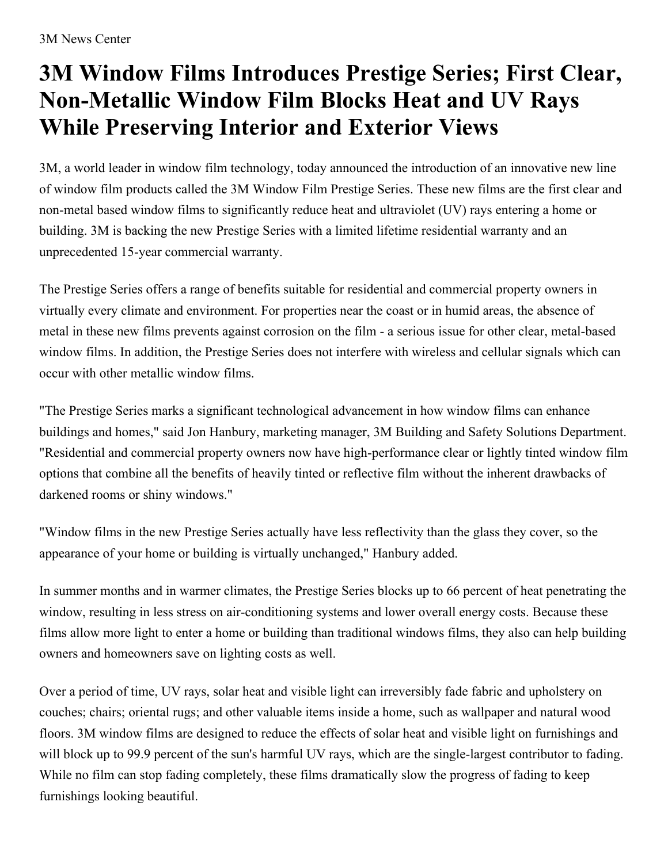## **3M Window Films Introduces Prestige Series; First Clear, Non-Metallic Window Film Blocks Heat and UV Rays While Preserving Interior and Exterior Views**

3M, a world leader in window film technology, today announced the introduction of an innovative new line of window film products called the 3M Window Film Prestige Series. These new films are the first clear and non-metal based window films to significantly reduce heat and ultraviolet (UV) rays entering a home or building. 3M is backing the new Prestige Series with a limited lifetime residential warranty and an unprecedented 15-year commercial warranty.

The Prestige Series offers a range of benefits suitable for residential and commercial property owners in virtually every climate and environment. For properties near the coast or in humid areas, the absence of metal in these new films prevents against corrosion on the film - a serious issue for other clear, metal-based window films. In addition, the Prestige Series does not interfere with wireless and cellular signals which can occur with other metallic window films.

"The Prestige Series marks a significant technological advancement in how window films can enhance buildings and homes," said Jon Hanbury, marketing manager, 3M Building and Safety Solutions Department. "Residential and commercial property owners now have high-performance clear or lightly tinted window film options that combine all the benefits of heavily tinted or reflective film without the inherent drawbacks of darkened rooms or shiny windows."

"Window films in the new Prestige Series actually have less reflectivity than the glass they cover, so the appearance of your home or building is virtually unchanged," Hanbury added.

In summer months and in warmer climates, the Prestige Series blocks up to 66 percent of heat penetrating the window, resulting in less stress on air-conditioning systems and lower overall energy costs. Because these films allow more light to enter a home or building than traditional windows films, they also can help building owners and homeowners save on lighting costs as well.

Over a period of time, UV rays, solar heat and visible light can irreversibly fade fabric and upholstery on couches; chairs; oriental rugs; and other valuable items inside a home, such as wallpaper and natural wood floors. 3M window films are designed to reduce the effects of solar heat and visible light on furnishings and will block up to 99.9 percent of the sun's harmful UV rays, which are the single-largest contributor to fading. While no film can stop fading completely, these films dramatically slow the progress of fading to keep furnishings looking beautiful.